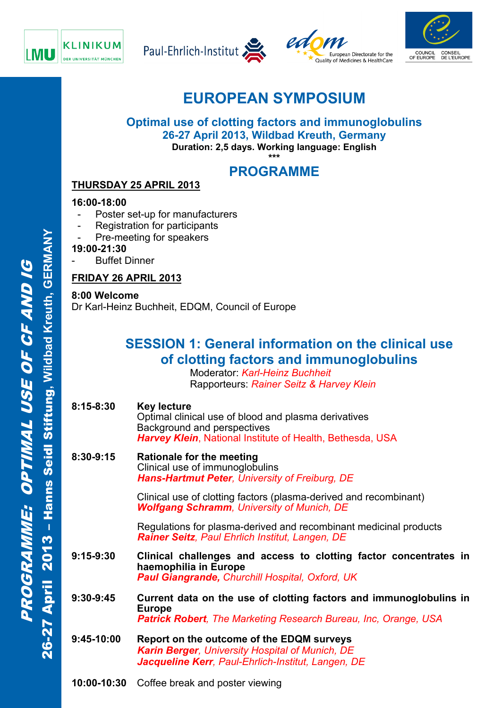







# **EUROPEAN SYMPOSIUM**

### **Optimal use of clotting factors and immunoglobulins 26-27 April 2013, Wildbad Kreuth, Germany Duration: 2,5 days. Working language: English**

**\*\*\*** 

## **PROGRAMME**

## **THURSDAY 25 APRIL 2013**

### **16:00-18:00**

- Poster set-up for manufacturers
- Registration for participants
- Pre-meeting for speakers
- **19:00-21:30**
- **Buffet Dinner**

### **FRIDAY 26 APRIL 2013**

### **8:00 Welcome**

Dr Karl-Heinz Buchheit, EDQM, Council of Europe

## **SESSION 1: General information on the clinical use of clotting factors and immunoglobulins**

 Moderator: *Karl-Heinz Buchheit* Rapporteurs: *Rainer Seitz & Harvey Klein*

- **8:15-8:30 Key lecture**  Optimal clinical use of blood and plasma derivatives Background and perspectives *Harvey Klein*, National Institute of Health, Bethesda, USA
- **8:30-9:15 Rationale for the meeting**  Clinical use of immunoglobulins  *Hans-Hartmut Peter, University of Freiburg, DE*

Clinical use of clotting factors (plasma-derived and recombinant) *Wolfgang Schramm, University of Munich, DE* 

Regulations for plasma-derived and recombinant medicinal products *Rainer Seitz, Paul Ehrlich Institut, Langen, DE* 

- **9:15-9:30 Clinical challenges and access to clotting factor concentrates in haemophilia in Europe**  *Paul Giangrande, Churchill Hospital, Oxford, UK*
- **9:30-9:45 Current data on the use of clotting factors and immunoglobulins in Europe**  *Patrick Robert, The Marketing Research Bureau, Inc, Orange, USA*
- **9:45-10:00 Report on the outcome of the EDQM surveys**  *Karin Berger, University Hospital of Munich, DE*  9:30-9:45 Current data on the use of clotting factors and<br>Europe<br>**Patrick Robert**, The Marketing Research Bureau, I.<br>9:45-10:00 Report on the outcome of the EDQM surveys<br>Karin Berger, University Hospital of Munich, DE<br>Jacq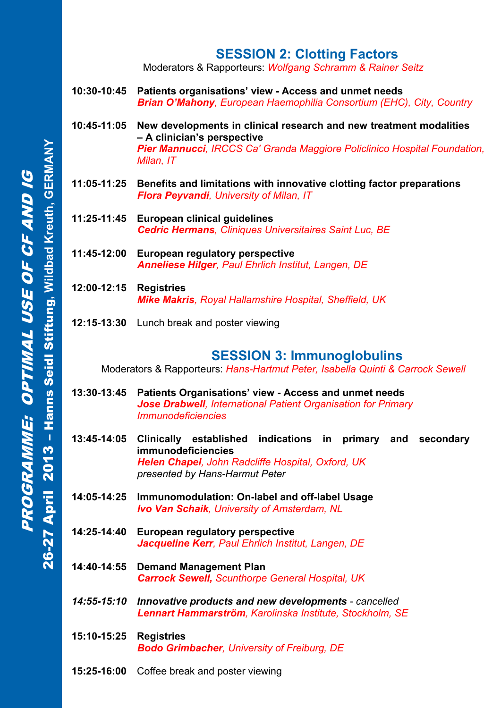## **SESSION 2: Clotting Factors**

Moderators & Rapporteurs: *Wolfgang Schramm & Rainer Seitz* 

- **10:30-10:45 Patients organisations' view Access and unmet needs**  *Brian O'Mahony, European Haemophilia Consortium (EHC), City, Country*
- **10:45-11:05 New developments in clinical research and new treatment modalities – A clinician's perspective**  *Pier Mannucci, IRCCS Ca' Granda Maggiore Policlinico Hospital Foundation, Milan, IT*
- **11:05-11:25 Benefits and limitations with innovative clotting factor preparations**  *Flora Peyvandi, University of Milan, IT*
- **11:25-11:45 European clinical guidelines**  *Cedric Hermans, Cliniques Universitaires Saint Luc, BE*
- **11:45-12:00 European regulatory perspective**  *Anneliese Hilger, Paul Ehrlich Institut, Langen, DE*
- **12:00-12:15 Registries**  *Mike Makris, Royal Hallamshire Hospital, Sheffield, UK*
- **12:15-13:30** Lunch break and poster viewing

## **SESSION 3: Immunoglobulins**

Moderators & Rapporteurs: *Hans-Hartmut Peter, Isabella Quinti & Carrock Sewell* 

- **13:30-13:45 Patients Organisations' view Access and unmet needs**  *Jose Drabwell, International Patient Organisation for Primary Immunodeficiencies*
- **13:45-14:05 Clinically established indications in primary and secondary immunodeficiencies**  *Helen Chapel, John Radcliffe Hospital, Oxford, UK presented by Hans-Harmut Peter*
- **14:05-14:25 Immunomodulation: On-label and off-label Usage**  *Ivo Van Schaik, University of Amsterdam, NL*
- **14:25-14:40 European regulatory perspective**  *Jacqueline Kerr, Paul Ehrlich Institut, Langen, DE*
- **14:40-14:55 Demand Management Plan**  *Carrock Sewell, Scunthorpe General Hospital, UK*
- *14:55-15:10 Innovative products and new developments cancelled Lennart Hammarström, Karolinska Institute, Stockholm, SE*
- **15:10-15:25 Registries** *Bodo Grimbacher, University of Freiburg, DE*
- **15:25-16:00** Coffee break and poster viewing